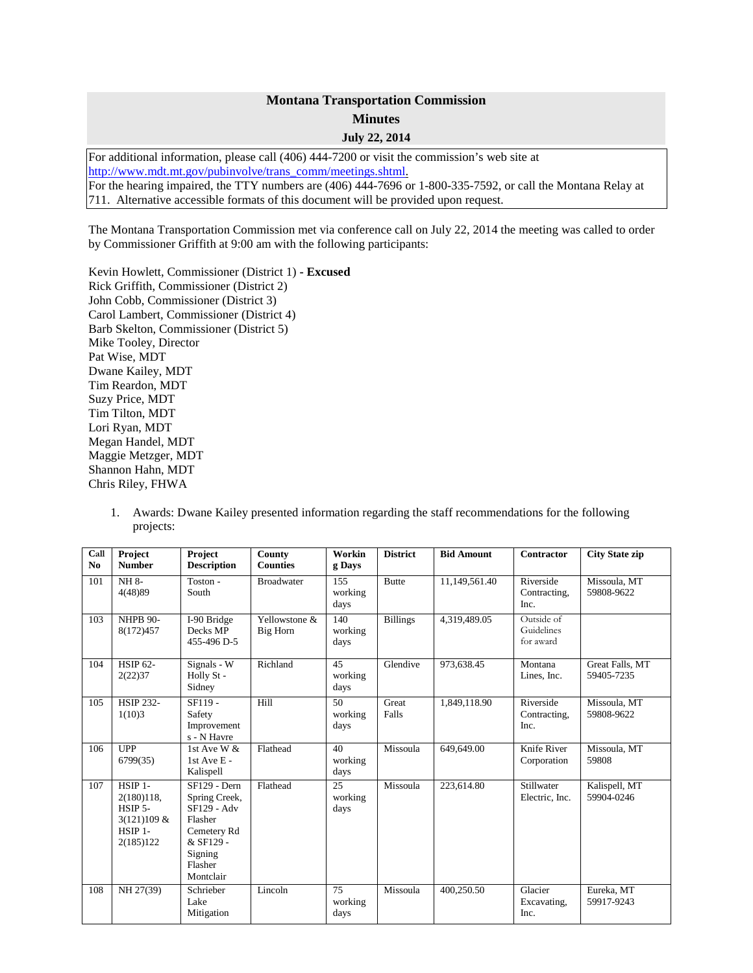## **Montana Transportation Commission Minutes July 22, 2014**

For additional information, please call (406) 444-7200 or visit the commission's web site at [http://www.mdt.mt.gov/pubinvolve/trans\\_comm/meetings.shtml.](http://www.mdt.mt.gov/pubinvolve/trans_comm/meetings.shtml) For the hearing impaired, the TTY numbers are (406) 444-7696 or 1-800-335-7592, or call the Montana Relay at 711. Alternative accessible formats of this document will be provided upon request.

The Montana Transportation Commission met via conference call on July 22, 2014 the meeting was called to order by Commissioner Griffith at 9:00 am with the following participants:

Kevin Howlett, Commissioner (District 1) **- Excused** Rick Griffith, Commissioner (District 2) John Cobb, Commissioner (District 3) Carol Lambert, Commissioner (District 4) Barb Skelton, Commissioner (District 5) Mike Tooley, Director Pat Wise, MDT Dwane Kailey, MDT Tim Reardon, MDT Suzy Price, MDT Tim Tilton, MDT Lori Ryan, MDT Megan Handel, MDT Maggie Metzger, MDT Shannon Hahn, MDT Chris Riley, FHWA

1. Awards: Dwane Kailey presented information regarding the staff recommendations for the following projects:

| Call<br>N <sub>0</sub> | Project<br><b>Number</b>                                                  | Project<br><b>Description</b>                                                                                                 | County<br><b>Counties</b> | Workin<br>g Days       | <b>District</b> | <b>Bid Amount</b> | <b>Contractor</b>                     | <b>City State zip</b>         |
|------------------------|---------------------------------------------------------------------------|-------------------------------------------------------------------------------------------------------------------------------|---------------------------|------------------------|-----------------|-------------------|---------------------------------------|-------------------------------|
| 101                    | NH 8-<br>4(48)89                                                          | Toston -<br>South                                                                                                             | <b>Broadwater</b>         | 155<br>working<br>days | <b>Butte</b>    | 11,149,561.40     | Riverside<br>Contracting.<br>Inc.     | Missoula, MT<br>59808-9622    |
| 103                    | <b>NHPB 90-</b><br>8(172)457                                              | I-90 Bridge<br>Decks MP<br>455-496 D-5                                                                                        | Yellowstone &<br>Big Horn | 140<br>working<br>days | <b>Billings</b> | 4,319,489.05      | Outside of<br>Guidelines<br>for award |                               |
| 104                    | <b>HSIP 62-</b><br>2(22)37                                                | Signals - W<br>Holly St -<br>Sidney                                                                                           | Richland                  | 45<br>working<br>days  | Glendive        | 973,638.45        | Montana<br>Lines, Inc.                | Great Falls, MT<br>59405-7235 |
| 105                    | <b>HSIP 232-</b><br>1(10)3                                                | SF119-<br>Safety<br>Improvement<br>s - N Havre                                                                                | Hill                      | 50<br>working<br>days  | Great<br>Falls  | 1,849,118.90      | Riverside<br>Contracting,<br>Inc.     | Missoula, MT<br>59808-9622    |
| 106                    | UPP<br>6799(35)                                                           | 1st Ave W $\&$<br>1st Ave E -<br>Kalispell                                                                                    | Flathead                  | 40<br>working<br>days  | Missoula        | 649,649.00        | Knife River<br>Corporation            | Missoula, MT<br>59808         |
| 107                    | HSIP 1-<br>2(180)118,<br>$HSIP$ 5-<br>3(121)109 &<br>HSIP 1-<br>2(185)122 | <b>SF129 - Dern</b><br>Spring Creek,<br>SF129 - Adv<br>Flasher<br>Cemetery Rd<br>& SF129 -<br>Signing<br>Flasher<br>Montclair | Flathead                  | 2.5<br>working<br>days | Missoula        | 223,614.80        | Stillwater<br>Electric, Inc.          | Kalispell, MT<br>59904-0246   |
| 108                    | NH 27(39)                                                                 | Schrieber<br>Lake<br>Mitigation                                                                                               | Lincoln                   | 75<br>working<br>days  | Missoula        | 400,250.50        | Glacier<br>Excavating,<br>Inc.        | Eureka, MT<br>59917-9243      |